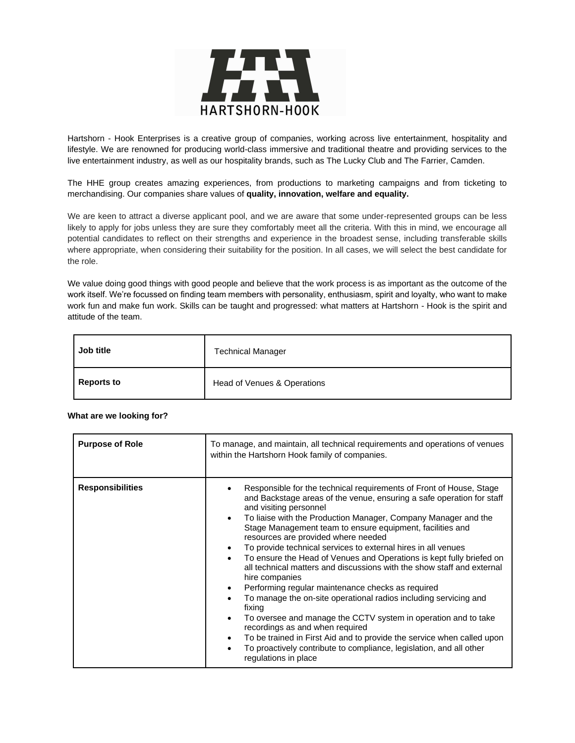

Hartshorn - Hook Enterprises is a creative group of companies, working across live entertainment, hospitality and lifestyle. We are renowned for producing world-class immersive and traditional theatre and providing services to the live entertainment industry, as well as our hospitality brands, such as The Lucky Club and The Farrier, Camden.

The HHE group creates amazing experiences, from productions to marketing campaigns and from ticketing to merchandising. Our companies share values of **quality, innovation, welfare and equality.**

We are keen to attract a diverse applicant pool, and we are aware that some under-represented groups can be less likely to apply for jobs unless they are sure they comfortably meet all the criteria. With this in mind, we encourage all potential candidates to reflect on their strengths and experience in the broadest sense, including transferable skills where appropriate, when considering their suitability for the position. In all cases, we will select the best candidate for the role.

We value doing good things with good people and believe that the work process is as important as the outcome of the work itself. We're focussed on finding team members with personality, enthusiasm, spirit and loyalty, who want to make work fun and make fun work. Skills can be taught and progressed: what matters at Hartshorn - Hook is the spirit and attitude of the team.

| Job title         | <b>Technical Manager</b>    |
|-------------------|-----------------------------|
| <b>Reports to</b> | Head of Venues & Operations |

| <b>Purpose of Role</b>  | To manage, and maintain, all technical requirements and operations of venues<br>within the Hartshorn Hook family of companies.                                                                                                                                                                                                                                                                                                                                                                                                                                                                                                                                                                                                                                                                                                                                                                                                                                                                                                                                                        |
|-------------------------|---------------------------------------------------------------------------------------------------------------------------------------------------------------------------------------------------------------------------------------------------------------------------------------------------------------------------------------------------------------------------------------------------------------------------------------------------------------------------------------------------------------------------------------------------------------------------------------------------------------------------------------------------------------------------------------------------------------------------------------------------------------------------------------------------------------------------------------------------------------------------------------------------------------------------------------------------------------------------------------------------------------------------------------------------------------------------------------|
| <b>Responsibilities</b> | Responsible for the technical requirements of Front of House, Stage<br>and Backstage areas of the venue, ensuring a safe operation for staff<br>and visiting personnel<br>To liaise with the Production Manager, Company Manager and the<br>$\bullet$<br>Stage Management team to ensure equipment, facilities and<br>resources are provided where needed<br>To provide technical services to external hires in all venues<br>٠<br>To ensure the Head of Venues and Operations is kept fully briefed on<br>$\bullet$<br>all technical matters and discussions with the show staff and external<br>hire companies<br>Performing regular maintenance checks as required<br>$\bullet$<br>To manage the on-site operational radios including servicing and<br>fixing<br>To oversee and manage the CCTV system in operation and to take<br>$\bullet$<br>recordings as and when required<br>To be trained in First Aid and to provide the service when called upon<br>$\bullet$<br>To proactively contribute to compliance, legislation, and all other<br>$\bullet$<br>regulations in place |

## **What are we looking for?**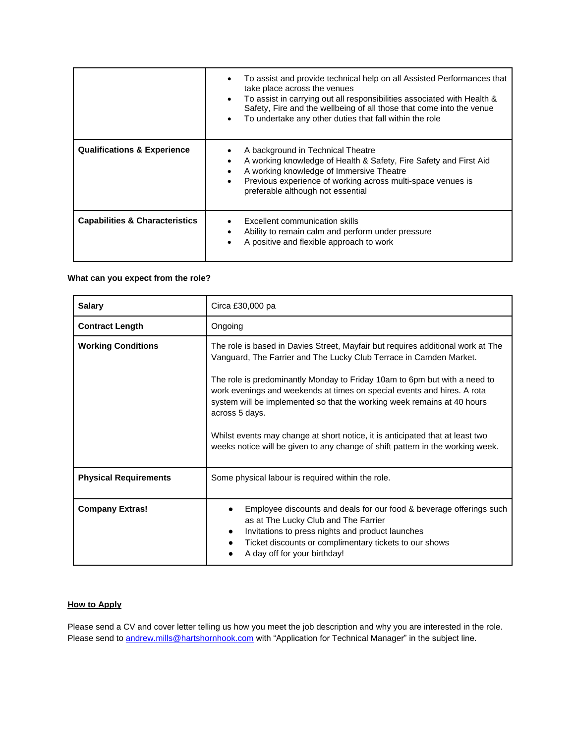|                                           | To assist and provide technical help on all Assisted Performances that<br>take place across the venues<br>To assist in carrying out all responsibilities associated with Health &<br>Safety, Fire and the wellbeing of all those that come into the venue<br>To undertake any other duties that fall within the role<br>$\bullet$ |
|-------------------------------------------|-----------------------------------------------------------------------------------------------------------------------------------------------------------------------------------------------------------------------------------------------------------------------------------------------------------------------------------|
| <b>Qualifications &amp; Experience</b>    | A background in Technical Theatre<br>A working knowledge of Health & Safety, Fire Safety and First Aid<br>A working knowledge of Immersive Theatre<br>$\bullet$<br>Previous experience of working across multi-space venues is<br>$\bullet$<br>preferable although not essential                                                  |
| <b>Capabilities &amp; Characteristics</b> | Excellent communication skills<br>Ability to remain calm and perform under pressure<br>A positive and flexible approach to work                                                                                                                                                                                                   |

## **What can you expect from the role?**

| <b>Salary</b>                | Circa £30,000 pa                                                                                                                                                                                                                                                                                                                                                                                                                                                                                                                                                              |
|------------------------------|-------------------------------------------------------------------------------------------------------------------------------------------------------------------------------------------------------------------------------------------------------------------------------------------------------------------------------------------------------------------------------------------------------------------------------------------------------------------------------------------------------------------------------------------------------------------------------|
| <b>Contract Length</b>       | Ongoing                                                                                                                                                                                                                                                                                                                                                                                                                                                                                                                                                                       |
| <b>Working Conditions</b>    | The role is based in Davies Street, Mayfair but requires additional work at The<br>Vanguard, The Farrier and The Lucky Club Terrace in Camden Market.<br>The role is predominantly Monday to Friday 10am to 6pm but with a need to<br>work evenings and weekends at times on special events and hires. A rota<br>system will be implemented so that the working week remains at 40 hours<br>across 5 days.<br>Whilst events may change at short notice, it is anticipated that at least two<br>weeks notice will be given to any change of shift pattern in the working week. |
| <b>Physical Requirements</b> | Some physical labour is required within the role.                                                                                                                                                                                                                                                                                                                                                                                                                                                                                                                             |
| <b>Company Extras!</b>       | Employee discounts and deals for our food & beverage offerings such<br>as at The Lucky Club and The Farrier<br>Invitations to press nights and product launches<br>Ticket discounts or complimentary tickets to our shows<br>٠<br>A day off for your birthday!                                                                                                                                                                                                                                                                                                                |

## **How to Apply**

Please send a CV and cover letter telling us how you meet the job description and why you are interested in the role. Please send to [andrew.mills@hartshornhook.com](mailto:andrew.mills@hartshornhook.com) with "Application for Technical Manager" in the subject line.